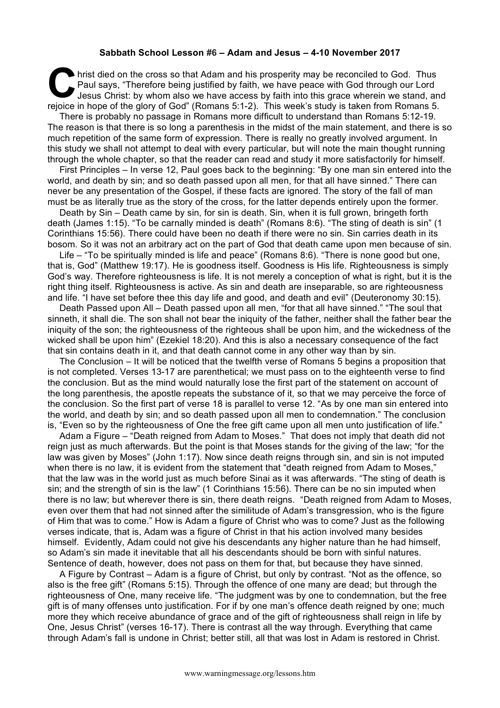## **Sabbath School Lesson #6 – Adam and Jesus – 4-10 November 2017**

hrist died on the cross so that Adam and his prosperity may be reconciled to God. Thus<br>
Paul says, "Therefore being justified by faith, we have peace with God through our Lord<br>
Jesus Christ: by whom also we have access by Paul says, "Therefore being justified by faith, we have peace with God through our Lord Jesus Christ: by whom also we have access by faith into this grace wherein we stand, and rejoice in hope of the glory of God" (Romans 5:1-2). This week's study is taken from Romans 5.

There is probably no passage in Romans more difficult to understand than Romans 5:12-19. The reason is that there is so long a parenthesis in the midst of the main statement, and there is so much repetition of the same form of expression. There is really no greatly involved argument. In this study we shall not attempt to deal with every particular, but will note the main thought running through the whole chapter, so that the reader can read and study it more satisfactorily for himself.

First Principles – In verse 12, Paul goes back to the beginning: "By one man sin entered into the world, and death by sin; and so death passed upon all men, for that all have sinned." There can never be any presentation of the Gospel, if these facts are ignored. The story of the fall of man must be as literally true as the story of the cross, for the latter depends entirely upon the former.

Death by Sin – Death came by sin, for sin is death. Sin, when it is full grown, bringeth forth death (James 1:15). "To be carnally minded is death" (Romans 8:6). "The sting of death is sin" (1 Corinthians 15:56). There could have been no death if there were no sin. Sin carries death in its bosom. So it was not an arbitrary act on the part of God that death came upon men because of sin.

Life – "To be spiritually minded is life and peace" (Romans 8:6). "There is none good but one, that is, God" (Matthew 19:17). He is goodness itself. Goodness is His life. Righteousness is simply God's way. Therefore righteousness is life. It is not merely a conception of what is right, but it is the right thing itself. Righteousness is active. As sin and death are inseparable, so are righteousness and life. "I have set before thee this day life and good, and death and evil" (Deuteronomy 30:15).

Death Passed upon All – Death passed upon all men, "for that all have sinned." "The soul that sinneth, it shall die. The son shall not bear the iniquity of the father, neither shall the father bear the iniquity of the son; the righteousness of the righteous shall be upon him, and the wickedness of the wicked shall be upon him" (Ezekiel 18:20). And this is also a necessary consequence of the fact that sin contains death in it, and that death cannot come in any other way than by sin.

The Conclusion – It will be noticed that the twelfth verse of Romans 5 begins a proposition that is not completed. Verses 13-17 are parenthetical; we must pass on to the eighteenth verse to find the conclusion. But as the mind would naturally lose the first part of the statement on account of the long parenthesis, the apostle repeats the substance of it, so that we may perceive the force of the conclusion. So the first part of verse 18 is parallel to verse 12. "As by one man sin entered into the world, and death by sin; and so death passed upon all men to condemnation." The conclusion is, "Even so by the righteousness of One the free gift came upon all men unto justification of life."

Adam a Figure – "Death reigned from Adam to Moses." That does not imply that death did not reign just as much afterwards. But the point is that Moses stands for the giving of the law; "for the law was given by Moses" (John 1:17). Now since death reigns through sin, and sin is not imputed when there is no law, it is evident from the statement that "death reigned from Adam to Moses," that the law was in the world just as much before Sinai as it was afterwards. "The sting of death is sin; and the strength of sin is the law" (1 Corinthians 15:56). There can be no sin imputed when there is no law; but wherever there is sin, there death reigns. "Death reigned from Adam to Moses, even over them that had not sinned after the similitude of Adam's transgression, who is the figure of Him that was to come." How is Adam a figure of Christ who was to come? Just as the following verses indicate, that is, Adam was a figure of Christ in that his action involved many besides himself. Evidently, Adam could not give his descendants any higher nature than he had himself, so Adam's sin made it inevitable that all his descendants should be born with sinful natures. Sentence of death, however, does not pass on them for that, but because they have sinned.

A Figure by Contrast – Adam is a figure of Christ, but only by contrast. "Not as the offence, so also is the free gift" (Romans 5:15). Through the offence of one many are dead; but through the righteousness of One, many receive life. "The judgment was by one to condemnation, but the free gift is of many offenses unto justification. For if by one man's offence death reigned by one; much more they which receive abundance of grace and of the gift of righteousness shall reign in life by One, Jesus Christ" (verses 16-17). There is contrast all the way through. Everything that came through Adam's fall is undone in Christ; better still, all that was lost in Adam is restored in Christ.